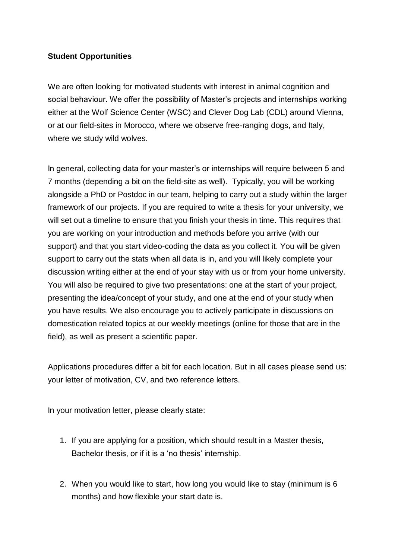#### **Student Opportunities**

We are often looking for motivated students with interest in animal cognition and social behaviour. We offer the possibility of Master's projects and internships working either at the Wolf Science Center (WSC) and Clever Dog Lab (CDL) around Vienna, or at our field-sites in Morocco, where we observe free-ranging dogs, and Italy, where we study wild wolves.

In general, collecting data for your master's or internships will require between 5 and 7 months (depending a bit on the field-site as well). Typically, you will be working alongside a PhD or Postdoc in our team, helping to carry out a study within the larger framework of our projects. If you are required to write a thesis for your university, we will set out a timeline to ensure that you finish your thesis in time. This requires that you are working on your introduction and methods before you arrive (with our support) and that you start video-coding the data as you collect it. You will be given support to carry out the stats when all data is in, and you will likely complete your discussion writing either at the end of your stay with us or from your home university. You will also be required to give two presentations: one at the start of your project, presenting the idea/concept of your study, and one at the end of your study when you have results. We also encourage you to actively participate in discussions on domestication related topics at our weekly meetings (online for those that are in the field), as well as present a scientific paper.

Applications procedures differ a bit for each location. But in all cases please send us: your letter of motivation, CV, and two reference letters.

In your motivation letter, please clearly state:

- 1. If you are applying for a position, which should result in a Master thesis, Bachelor thesis, or if it is a 'no thesis' internship.
- 2. When you would like to start, how long you would like to stay (minimum is 6 months) and how flexible your start date is.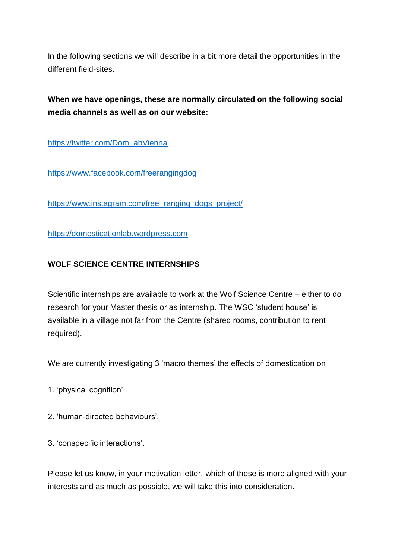In the following sections we will describe in a bit more detail the opportunities in the different field-sites.

**When we have openings, these are normally circulated on the following social media channels as well as on our website:**

<https://twitter.com/DomLabVienna>

<https://www.facebook.com/freerangingdog>

[https://www.instagram.com/free\\_ranging\\_dogs\\_project/](https://www.instagram.com/free_ranging_dogs_project/)

[https://domesticationlab.wordpress.com](https://domesticationlab.wordpress.com/)

# **WOLF SCIENCE CENTRE INTERNSHIPS**

Scientific internships are available to work at the Wolf Science Centre – either to do research for your Master thesis or as internship. The WSC 'student house' is available in a village not far from the Centre (shared rooms, contribution to rent required).

We are currently investigating 3 'macro themes' the effects of domestication on

- 1. 'physical cognition'
- 2. 'human-directed behaviours',
- 3. 'conspecific interactions'.

Please let us know, in your motivation letter, which of these is more aligned with your interests and as much as possible, we will take this into consideration.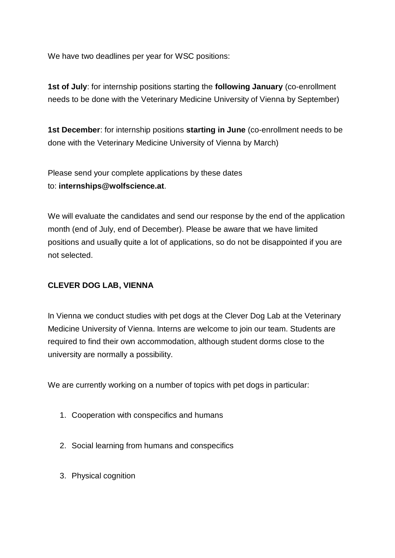We have two deadlines per year for WSC positions:

**1st of July**: for internship positions starting the **following January** (co-enrollment needs to be done with the Veterinary Medicine University of Vienna by September)

**1st December**: for internship positions **starting in June** (co-enrollment needs to be done with the Veterinary Medicine University of Vienna by March)

Please send your complete applications by these dates to: **[internships@wolfscience.at](mailto:internships@wolfscience.at)**.

We will evaluate the candidates and send our response by the end of the application month (end of July, end of December). Please be aware that we have limited positions and usually quite a lot of applications, so do not be disappointed if you are not selected.

### **CLEVER DOG LAB, VIENNA**

In Vienna we conduct studies with pet dogs at the Clever Dog Lab at the Veterinary Medicine University of Vienna. Interns are welcome to join our team. Students are required to find their own accommodation, although student dorms close to the university are normally a possibility.

We are currently working on a number of topics with pet dogs in particular:

- 1. Cooperation with conspecifics and humans
- 2. Social learning from humans and conspecifics
- 3. Physical cognition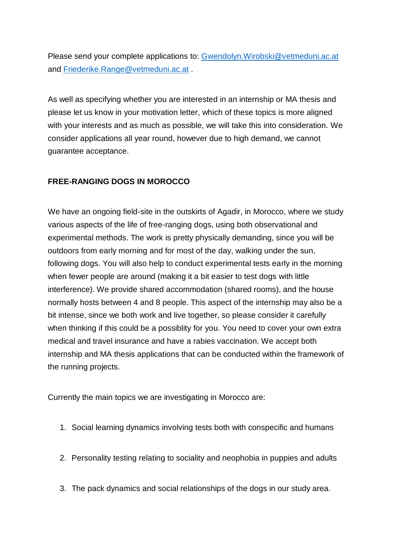Please send your complete applications to: [Gwendolyn.Wirobski@vetmeduni.ac.at](mailto:Gwendolyn.Wirobski@vetmeduni.ac.at) and [Friederike.Range@vetmeduni.ac.at](mailto:Friederike.Range@vetmeduni.ac.at) .

As well as specifying whether you are interested in an internship or MA thesis and please let us know in your motivation letter, which of these topics is more aligned with your interests and as much as possible, we will take this into consideration. We consider applications all year round, however due to high demand, we cannot guarantee acceptance.

### **FREE-RANGING DOGS IN MOROCCO**

We have an ongoing field-site in the outskirts of Agadir, in Morocco, where we study various aspects of the life of free-ranging dogs, using both observational and experimental methods. The work is pretty physically demanding, since you will be outdoors from early morning and for most of the day, walking under the sun, following dogs. You will also help to conduct experimental tests early in the morning when fewer people are around (making it a bit easier to test dogs with little interference). We provide shared accommodation (shared rooms), and the house normally hosts between 4 and 8 people. This aspect of the internship may also be a bit intense, since we both work and live together, so please consider it carefully when thinking if this could be a possiblity for you. You need to cover your own extra medical and travel insurance and have a rabies vaccination. We accept both internship and MA thesis applications that can be conducted within the framework of the running projects.

Currently the main topics we are investigating in Morocco are:

- 1. Social learning dynamics involving tests both with conspecific and humans
- 2. Personality testing relating to sociality and neophobia in puppies and adults
- 3. The pack dynamics and social relationships of the dogs in our study area.